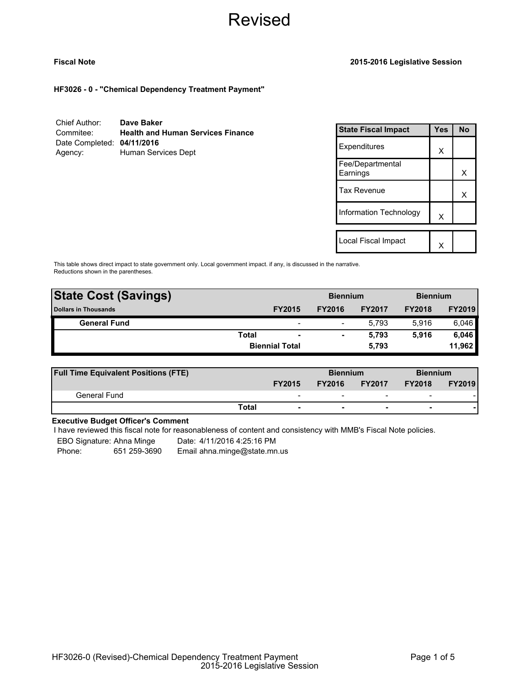## **Fiscal Note 2015-2016 Legislative Session**

**HF3026 - 0 - "Chemical Dependency Treatment Payment"**

| Chief Author:              | Dave Baker                               |
|----------------------------|------------------------------------------|
| Commitee:                  | <b>Health and Human Services Finance</b> |
| Date Completed: 04/11/2016 |                                          |
| Agency:                    | Human Services Dept                      |

| <b>State Fiscal Impact</b>   | Yes | <b>No</b> |
|------------------------------|-----|-----------|
| Expenditures                 | X   |           |
| Fee/Departmental<br>Earnings |     | х         |
| Tax Revenue                  |     | x         |
| Information Technology       | X   |           |
| Local Fiscal Impact          |     |           |
|                              |     |           |

This table shows direct impact to state government only. Local government impact. if any, is discussed in the narrative. Reductions shown in the parentheses.

| <b>State Cost (Savings)</b> |              | <b>Biennium</b>          |               | <b>Biennium</b> |               |               |
|-----------------------------|--------------|--------------------------|---------------|-----------------|---------------|---------------|
| <b>Dollars in Thousands</b> |              | <b>FY2015</b>            | <b>FY2016</b> | <b>FY2017</b>   | <b>FY2018</b> | <b>FY2019</b> |
| <b>General Fund</b>         |              | $\overline{\phantom{0}}$ | -             | 5.793           | 5.916         | 6,046         |
|                             | <b>Total</b> | $\overline{\phantom{a}}$ |               | 5.793           | 5.916         | 6,046         |
|                             |              | <b>Biennial Total</b>    |               | 5,793           |               | 11,962        |
|                             |              |                          |               |                 |               |               |

| <b>Full Time Equivalent Positions (FTE)</b> |                          | <b>Biennium</b> |                          | <b>Biennium</b>          |               |
|---------------------------------------------|--------------------------|-----------------|--------------------------|--------------------------|---------------|
|                                             | <b>FY2015</b>            | <b>FY2016</b>   | <b>FY2017</b>            | <b>FY2018</b>            | <b>FY2019</b> |
| General Fund                                | $\overline{\phantom{0}}$ | -               | $\overline{\phantom{0}}$ | $\overline{\phantom{0}}$ |               |
|                                             | Total                    |                 |                          | -                        |               |

# **Executive Budget Officer's Comment**

I have reviewed this fiscal note for reasonableness of content and consistency with MMB's Fiscal Note policies.

EBO Signature: Ahna Minge Date: 4/11/2016 4:25:16 PM

Phone: 651 259-3690 Email ahna.minge@state.mn.us

HF3026-0 (Revised)-Chemical Dependency Treatment Payment 2015-2016 Legislative Session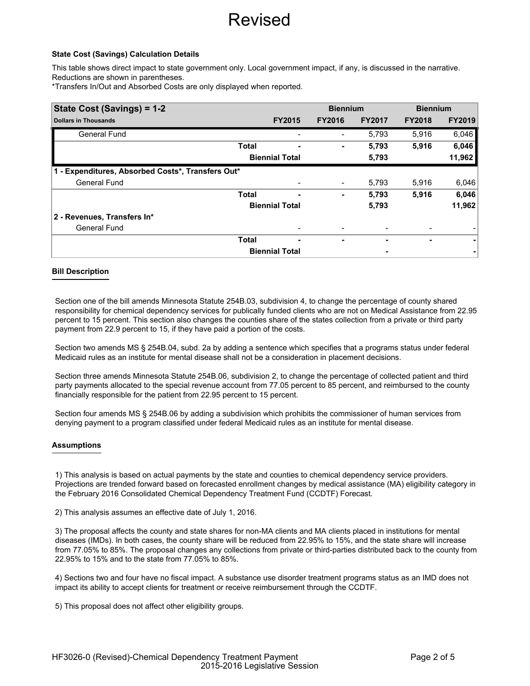### **State Cost (Savings) Calculation Details**

This table shows direct impact to state government only. Local government impact, if any, is discussed in the narrative. Reductions are shown in parentheses.

\*Transfers In/Out and Absorbed Costs are only displayed when reported.

| State Cost (Savings) = 1-2                        |              |                       | <b>Biennium</b>              |               | <b>Biennium</b> |               |
|---------------------------------------------------|--------------|-----------------------|------------------------------|---------------|-----------------|---------------|
| <b>Dollars in Thousands</b>                       |              | <b>FY2015</b>         | <b>FY2016</b>                | <b>FY2017</b> | <b>FY2018</b>   | <b>FY2019</b> |
| <b>General Fund</b>                               |              |                       |                              | 5,793         | 5,916           | 6,046         |
|                                                   | <b>Total</b> |                       | ٠                            | 5,793         | 5,916           | 6,046         |
|                                                   |              | <b>Biennial Total</b> |                              | 5,793         |                 | 11,962        |
| 1 - Expenditures, Absorbed Costs*, Transfers Out* |              |                       |                              |               |                 |               |
| <b>General Fund</b>                               |              |                       | $\qquad \qquad \blacksquare$ | 5,793         | 5,916           | 6,046         |
|                                                   | <b>Total</b> | ۰                     | ٠                            | 5,793         | 5,916           | 6,046         |
|                                                   |              | <b>Biennial Total</b> |                              | 5,793         |                 | 11,962        |
| 2 - Revenues, Transfers In*                       |              |                       |                              |               |                 |               |
| <b>General Fund</b>                               |              |                       |                              |               |                 |               |
|                                                   | <b>Total</b> | ٠                     | ۰                            |               | ۰               | ۰             |
|                                                   |              | <b>Biennial Total</b> |                              |               |                 |               |

### **Bill Description**

Section one of the bill amends Minnesota Statute 254B.03, subdivision 4, to change the percentage of county shared responsibility for chemical dependency services for publically funded clients who are not on Medical Assistance from 22.95 percent to 15 percent. This section also changes the counties share of the states collection from a private or third party payment from 22.9 percent to 15, if they have paid a portion of the costs.

Section two amends MS § 254B.04, subd. 2a by adding a sentence which specifies that a programs status under federal Medicaid rules as an institute for mental disease shall not be a consideration in placement decisions.

Section three amends Minnesota Statute 254B.06, subdivision 2, to change the percentage of collected patient and third party payments allocated to the special revenue account from 77.05 percent to 85 percent, and reimbursed to the county financially responsible for the patient from 22.95 percent to 15 percent.

Section four amends MS § 254B.06 by adding a subdivision which prohibits the commissioner of human services from denying payment to a program classified under federal Medicaid rules as an institute for mental disease.

#### **Assumptions**

1) This analysis is based on actual payments by the state and counties to chemical dependency service providers. Projections are trended forward based on forecasted enrollment changes by medical assistance (MA) eligibility category in the February 2016 Consolidated Chemical Dependency Treatment Fund (CCDTF) Forecast.

2) This analysis assumes an effective date of July 1, 2016.

3) The proposal affects the county and state shares for non-MA clients and MA clients placed in institutions for mental diseases (IMDs). In both cases, the county share will be reduced from 22.95% to 15%, and the state share will increase from 77.05% to 85%. The proposal changes any collections from private or third-parties distributed back to the county from 22.95% to 15% and to the state from 77.05% to 85%.

4) Sections two and four have no fiscal impact. A substance use disorder treatment programs status as an IMD does not impact its ability to accept clients for treatment or receive reimbursement through the CCDTF.

5) This proposal does not affect other eligibility groups.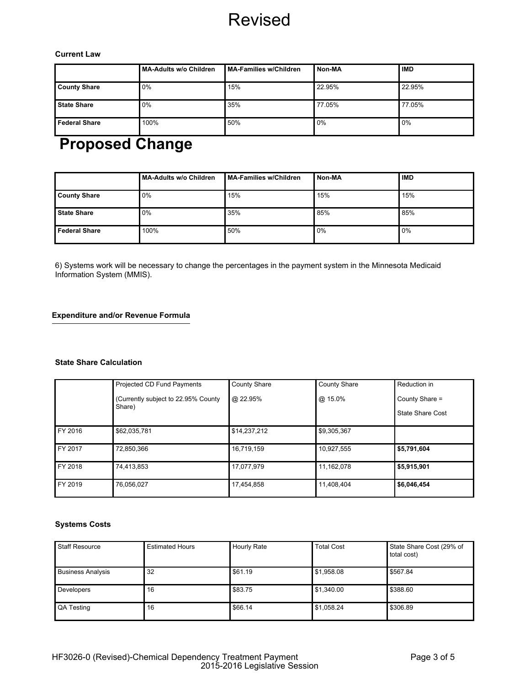### **Current Law**

|                      | MA-Adults w/o Children | MA-Families w/Children | Non-MA | <b>IMD</b> |
|----------------------|------------------------|------------------------|--------|------------|
| <b>County Share</b>  | 0%                     | 15%                    | 22.95% | 22.95%     |
| <b>State Share</b>   | $0\%$                  | 35%                    | 77.05% | 77.05%     |
| <b>Federal Share</b> | 100%                   | 50%                    | 0%     | 0%         |

# **Proposed Change**

|                      | MA-Adults w/o Children | MA-Families w/Children | Non-MA | <b>IMD</b> |
|----------------------|------------------------|------------------------|--------|------------|
| <b>County Share</b>  | 0%                     | 15%                    | 15%    | 15%        |
| <b>State Share</b>   | 0%                     | 35%                    | 85%    | 85%        |
| <b>Federal Share</b> | 100%                   | 50%                    | $0\%$  | 0%         |

6) Systems work will be necessary to change the percentages in the payment system in the Minnesota Medicaid Information System (MMIS).

# **Expenditure and/or Revenue Formula**

## **State Share Calculation**

|         | Projected CD Fund Payments           | <b>County Share</b> | <b>County Share</b> | Reduction in            |
|---------|--------------------------------------|---------------------|---------------------|-------------------------|
|         | (Currently subject to 22.95% County) | @ 22.95%            | @ 15.0%             | County Share =          |
|         | Share)                               |                     |                     | <b>State Share Cost</b> |
| FY 2016 | \$62,035,781                         | \$14,237,212        | \$9,305,367         |                         |
| FY 2017 | 72.850.366                           | 16,719,159          | 10,927,555          | \$5,791,604             |
| FY 2018 | 74,413,853                           | 17,077,979          | 11,162,078          | \$5,915,901             |
| FY 2019 | 76.056.027                           | 17,454,858          | 11,408,404          | \$6,046,454             |

# **Systems Costs**

| <b>Staff Resource</b>    | <b>Estimated Hours</b> | <b>Hourly Rate</b> | <b>Total Cost</b> | State Share Cost (29% of<br>total cost) |
|--------------------------|------------------------|--------------------|-------------------|-----------------------------------------|
| <b>Business Analysis</b> | 32                     | \$61.19            | \$1,958.08        | \$567.84                                |
| Developers               | 16                     | \$83.75            | \$1,340.00        | \$388.60                                |
| QA Testing               | 16                     | \$66.14            | \$1,058.24        | \$306.89                                |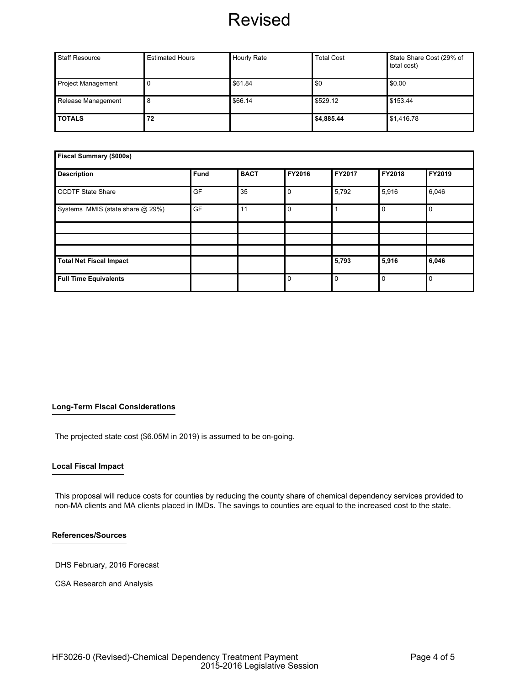| <b>Staff Resource</b>     | <b>Estimated Hours</b> | <b>Hourly Rate</b> | <b>Total Cost</b> | State Share Cost (29% of<br>total cost) |
|---------------------------|------------------------|--------------------|-------------------|-----------------------------------------|
| <b>Project Management</b> |                        | \$61.84            | \$0               | \$0.00                                  |
| Release Management        |                        | \$66.14            | \$529.12          | \$153.44                                |
| <b>TOTALS</b>             | 72                     |                    | \$4,885.44        | \$1,416.78                              |

| Fiscal Summary (\$000s)          |      |             |             |          |             |          |
|----------------------------------|------|-------------|-------------|----------|-------------|----------|
| <b>Description</b>               | Fund | <b>BACT</b> | FY2016      | FY2017   | FY2018      | FY2019   |
| <b>CCDTF State Share</b>         | GF   | 35          | $\mathbf 0$ | 5,792    | 5,916       | 6,046    |
| Systems MMIS (state share @ 29%) | GF   | 11          | $\mathbf 0$ |          | $\mathbf 0$ | 0        |
|                                  |      |             |             |          |             |          |
|                                  |      |             |             |          |             |          |
|                                  |      |             |             |          |             |          |
| <b>Total Net Fiscal Impact</b>   |      |             |             | 5,793    | 5,916       | 6,046    |
| <b>Full Time Equivalents</b>     |      |             | $\mathbf 0$ | $\Omega$ | $\mathbf 0$ | $\Omega$ |

# **Long-Term Fiscal Considerations**

The projected state cost (\$6.05M in 2019) is assumed to be on-going.

#### **Local Fiscal Impact**

This proposal will reduce costs for counties by reducing the county share of chemical dependency services provided to non-MA clients and MA clients placed in IMDs. The savings to counties are equal to the increased cost to the state.

#### **References/Sources**

DHS February, 2016 Forecast

CSA Research and Analysis